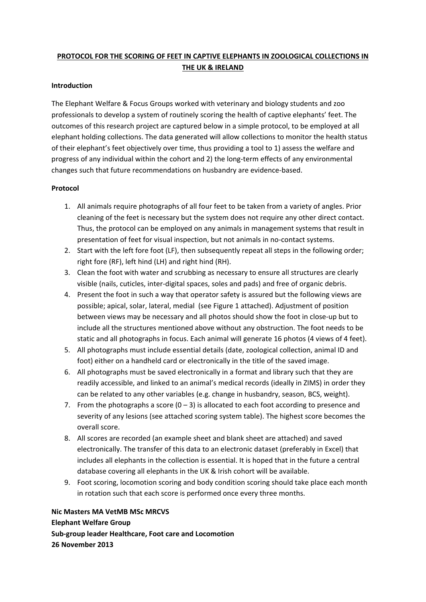# **PROTOCOL FOR THE SCORING OF FEET IN CAPTIVE ELEPHANTS IN ZOOLOGICAL COLLECTIONS IN THE UK & IRELAND**

#### **Introduction**

The Elephant Welfare & Focus Groups worked with veterinary and biology students and zoo professionals to develop a system of routinely scoring the health of captive elephants' feet. The outcomes of this research project are captured below in a simple protocol, to be employed at all elephant holding collections. The data generated will allow collections to monitor the health status of their elephant's feet objectively over time, thus providing a tool to 1) assess the welfare and progress of any individual within the cohort and 2) the long‐term effects of any environmental changes such that future recommendations on husbandry are evidence‐based.

### **Protocol**

- 1. All animals require photographs of all four feet to be taken from a variety of angles. Prior cleaning of the feet is necessary but the system does not require any other direct contact. Thus, the protocol can be employed on any animals in management systems that result in presentation of feet for visual inspection, but not animals in no‐contact systems.
- 2. Start with the left fore foot (LF), then subsequently repeat all steps in the following order; right fore (RF), left hind (LH) and right hind (RH).
- 3. Clean the foot with water and scrubbing as necessary to ensure all structures are clearly visible (nails, cuticles, inter‐digital spaces, soles and pads) and free of organic debris.
- 4. Present the foot in such a way that operator safety is assured but the following views are possible; apical, solar, lateral, medial (see Figure 1 attached). Adjustment of position between views may be necessary and all photos should show the foot in close‐up but to include all the structures mentioned above without any obstruction. The foot needs to be static and all photographs in focus. Each animal will generate 16 photos (4 views of 4 feet).
- 5. All photographs must include essential details (date, zoological collection, animal ID and foot) either on a handheld card or electronically in the title of the saved image.
- 6. All photographs must be saved electronically in a format and library such that they are readily accessible, and linked to an animal's medical records (ideally in ZIMS) in order they can be related to any other variables (e.g. change in husbandry, season, BCS, weight).
- 7. From the photographs a score  $(0 3)$  is allocated to each foot according to presence and severity of any lesions (see attached scoring system table). The highest score becomes the overall score.
- 8. All scores are recorded (an example sheet and blank sheet are attached) and saved electronically. The transfer of this data to an electronic dataset (preferably in Excel) that includes all elephants in the collection is essential. It is hoped that in the future a central database covering all elephants in the UK & Irish cohort will be available.
- 9. Foot scoring, locomotion scoring and body condition scoring should take place each month in rotation such that each score is performed once every three months.

**Nic Masters MA VetMB MSc MRCVS Elephant Welfare Group Sub‐group leader Healthcare, Foot care and Locomotion 26 November 2013**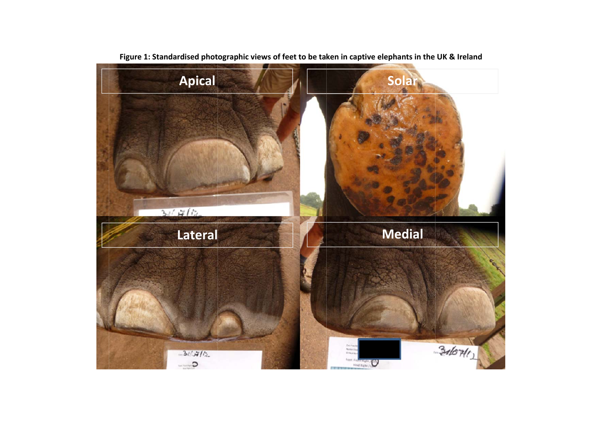

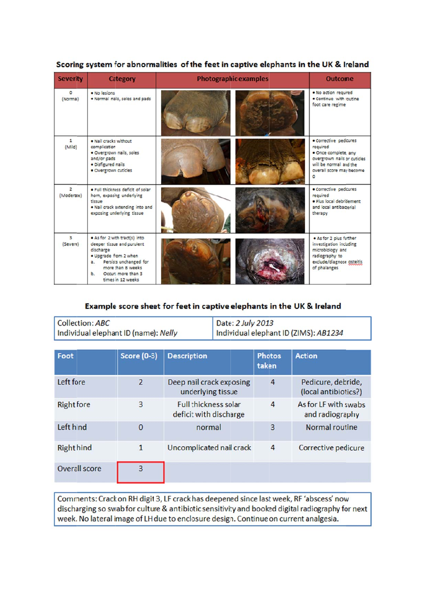| <b>Severity</b>              | <b>Category</b>                                                                                                                                                                                         | <b>Photographic examples</b> |                                                                                                                                                      |  |
|------------------------------|---------------------------------------------------------------------------------------------------------------------------------------------------------------------------------------------------------|------------------------------|------------------------------------------------------------------------------------------------------------------------------------------------------|--|
| $\circ$<br>(Normal)          | · No lesions<br>. Normal nails, soles and pads                                                                                                                                                          |                              | . No action required<br>. Continue with routine<br>foot care regime                                                                                  |  |
| $\mathbf{1}$<br>(Mild)       | . Nail cracks without<br>complication<br>· Overgrown nails, soles<br>and/or pads<br>· Disfigured nails<br>· Overgrown cuticles                                                                          |                              | · Corrective pedicures<br>required<br>· Once complete, any<br>overgrown nails or cuticles<br>will be normal and the<br>overall score may become<br>٥ |  |
| $\overline{2}$<br>(Moderate) | . Full thickness deficit of solar<br>horn, exposing underlying<br>TISSUE<br>. Nail crack extending into and<br>exposing underlying tissue                                                               |                              | · Corrective pedicures<br>required<br>· Plus local debridement<br>and local antibacterial<br>therapy                                                 |  |
| $\overline{3}$<br>(Severe)   | . As for 2 with tract(s) into<br>deeper tissue and purulent<br>discharge<br>· Upgrade from 2 when<br>Persists unchanged for<br>$a^2$<br>more than 8 weeks<br>b. Occurs more than 3<br>times in 12 weeks |                              | . As for 2 plus further<br>investigation including<br>microbiology and<br>radiography to<br>exclude/diagnose osteitis<br>of phalanges                |  |

## Scoring system for abnormalities of the feet in captive elephants in the UK & Ireland

### Example score sheet for feet in captive elephants in the UK & Ireland

| Collection: ABC                      | Date: 2 July 2013                     |
|--------------------------------------|---------------------------------------|
| Individual elephant ID (name): Nelly | Individual elephant ID (ZIMS): AB1234 |

| Foot              | <b>Score (0-3)</b> | <b>Description</b>                                    | <b>Photos</b><br>taken | <b>Action</b>                              |
|-------------------|--------------------|-------------------------------------------------------|------------------------|--------------------------------------------|
| Left fore         | $\overline{2}$     | Deep nail crack exposing<br>underlying tissue         | 4                      | Pedicure, debride,<br>(local antibiotics?) |
| <b>Right fore</b> | 3                  | <b>Full thickness solar</b><br>deficit with discharge | 4                      | As for LF with swabs<br>and radiography    |
| Left hind         | $\bf{0}$           | normal                                                | 3                      | Normal routine                             |
| <b>Right hind</b> | 1                  | Uncomplicated nail crack                              | 4                      | Corrective pedicure                        |
| Overall score     | 3                  |                                                       |                        |                                            |

Comments: Crack on RH digit 3, LF crack has deepened since last week, RF 'abscess' now discharging so swab for culture & antibiotic sensitivity and booked digital radiography for next week. No lateral image of LH due to enclosure design. Continue on current analgesia.